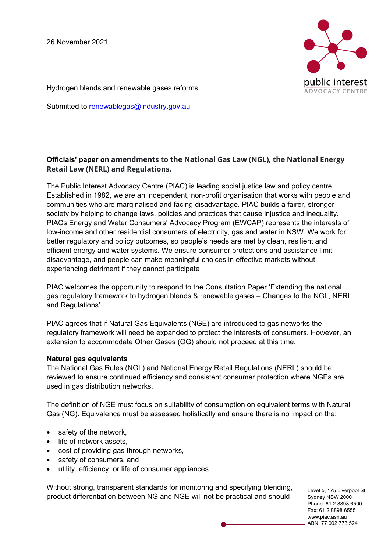

Hydrogen blends and renewable gases reforms

Submitted to renewablegas@industry.gov.au

## **Officials' paper on amendments to the National Gas Law (NGL), the National Energy Retail Law (NERL) and Regulations.**

The Public Interest Advocacy Centre (PIAC) is leading social justice law and policy centre. Established in 1982, we are an independent, non-profit organisation that works with people and communities who are marginalised and facing disadvantage. PIAC builds a fairer, stronger society by helping to change laws, policies and practices that cause injustice and inequality. PIACs Energy and Water Consumers' Advocacy Program (EWCAP) represents the interests of low-income and other residential consumers of electricity, gas and water in NSW. We work for better regulatory and policy outcomes, so people's needs are met by clean, resilient and efficient energy and water systems. We ensure consumer protections and assistance limit disadvantage, and people can make meaningful choices in effective markets without experiencing detriment if they cannot participate

PIAC welcomes the opportunity to respond to the Consultation Paper 'Extending the national gas regulatory framework to hydrogen blends & renewable gases – Changes to the NGL, NERL and Regulations'.

PIAC agrees that if Natural Gas Equivalents (NGE) are introduced to gas networks the regulatory framework will need be expanded to protect the interests of consumers. However, an extension to accommodate Other Gases (OG) should not proceed at this time.

## **Natural gas equivalents**

The National Gas Rules (NGL) and National Energy Retail Regulations (NERL) should be reviewed to ensure continued efficiency and consistent consumer protection where NGEs are used in gas distribution networks.

The definition of NGE must focus on suitability of consumption on equivalent terms with Natural Gas (NG). Equivalence must be assessed holistically and ensure there is no impact on the:

- safety of the network,
- life of network assets,
- cost of providing gas through networks,
- safety of consumers, and
- utility, efficiency, or life of consumer appliances.

Without strong, transparent standards for monitoring and specifying blending, product differentiation between NG and NGE will not be practical and should

Level 5, 175 Liverpool St Sydney NSW 2000 Phone: 61 2 8898 6500 Fax: 61 2 8898 6555 www.piac.asn.au ABN: 77 002 773 524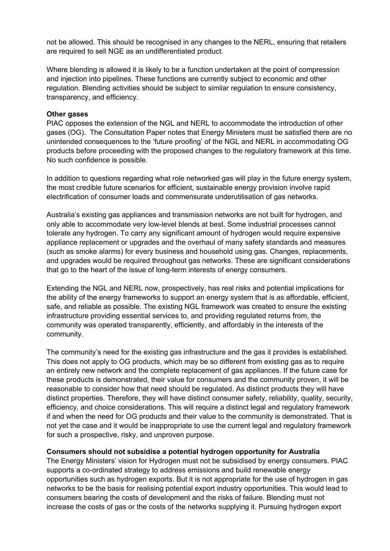not be allowed. This should be recognised in any changes to the NERL, ensuring that retailers are required to sell NGE as an undifferentiated product.

Where blending is allowed it is likely to be a function undertaken at the point of compression and injection into pipelines. These functions are currently subject to economic and other regulation. Blending activities should be subject to similar regulation to ensure consistency, transparency, and efficiency.

## **Other gases**

PIAC opposes the extension of the NGL and NERL to accommodate the introduction of other gases (OG). The Consultation Paper notes that Energy Ministers must be satisfied there are no unintended consequences to the 'future proofing' of the NGL and NERL in accommodating OG products before proceeding with the proposed changes to the regulatory framework at this time. No such confidence is possible.

In addition to questions regarding what role networked gas will play in the future energy system, the most credible future scenarios for efficient, sustainable energy provision involve rapid electrification of consumer loads and commensurate underutilisation of gas networks.

Australia's existing gas appliances and transmission networks are not built for hydrogen, and only able to accommodate very low-level blends at best. Some industrial processes cannot tolerate any hydrogen. To carry any significant amount of hydrogen would require expensive appliance replacement or upgrades and the overhaul of many safety standards and measures (such as smoke alarms) for every business and household using gas. Changes, replacements, and upgrades would be required throughout gas networks. These are significant considerations that go to the heart of the issue of long-term interests of energy consumers.

Extending the NGL and NERL now, prospectively, has real risks and potential implications for the ability of the energy frameworks to support an energy system that is as affordable, efficient, safe, and reliable as possible. The existing NGL framework was created to ensure the existing infrastructure providing essential services to, and providing regulated returns from, the community was operated transparently, efficiently, and affordably in the interests of the community.

The community's need for the existing gas infrastructure and the gas it provides is established. This does not apply to OG products, which may be so different from existing gas as to require an entirely new network and the complete replacement of gas appliances. If the future case for these products is demonstrated, their value for consumers and the community proven, it will be reasonable to consider how that need should be regulated. As distinct products they will have distinct properties. Therefore, they will have distinct consumer safety, reliability, quality, security, efficiency, and choice considerations. This will require a distinct legal and regulatory framework if and when the need for OG products and their value to the community is demonstrated. That is not yet the case and it would be inappropriate to use the current legal and regulatory framework for such a prospective, risky, and unproven purpose.

## **Consumers should not subsidise a potential hydrogen opportunity for Australia**

The Energy Ministers' vision for Hydrogen must not be subsidised by energy consumers. PIAC supports a co-ordinated strategy to address emissions and build renewable energy opportunities such as hydrogen exports. But it is not appropriate for the use of hydrogen in gas networks to be the basis for realising potential export industry opportunities. This would lead to consumers bearing the costs of development and the risks of failure. Blending must not increase the costs of gas or the costs of the networks supplying it. Pursuing hydrogen export